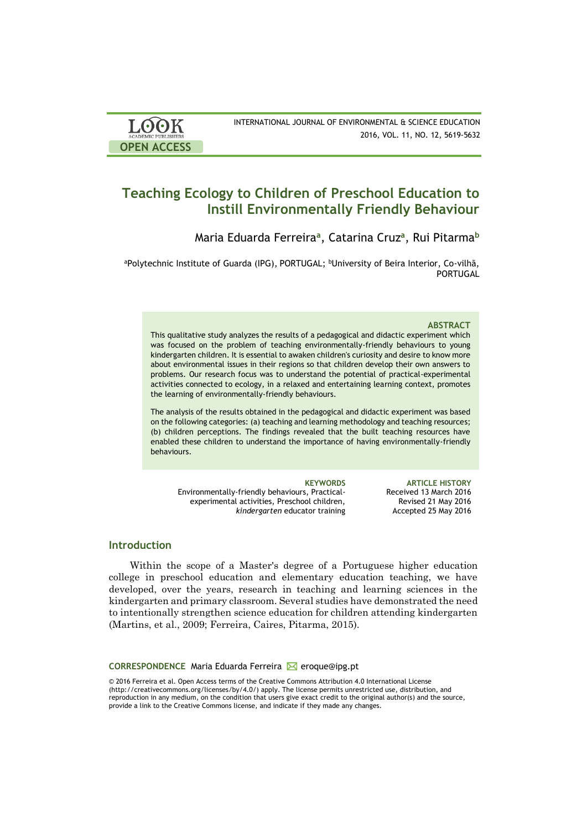| <b>LOOK</b>                | INTERNATIONAL JOURNAL OF ENVIRONMENTAL & SCIENCE EDUCATION |
|----------------------------|------------------------------------------------------------|
| <b>ACADEMIC PUBLISHERS</b> | 2016, VOL. 11, NO. 12, 5619-5632                           |
| <b>OPEN ACCESS</b>         |                                                            |

# **Teaching Ecology to Children of Preschool Education to Instill Environmentally Friendly Behaviour**

Maria Eduarda Ferreira**<sup>a</sup>** , Catarina Cruz**<sup>a</sup>** , Rui Pitarma**<sup>b</sup>**

aPolytechnic Institute of Guarda (IPG), PORTUGAL; <sup>b</sup>University of Beira Interior, Co-vilhã, PORTUGAL

### **ABSTRACT**

This qualitative study analyzes the results of a pedagogical and didactic experiment which was focused on the problem of teaching environmentally-friendly behaviours to young kindergarten children. It is essential to awaken children's curiosity and desire to know more about environmental issues in their regions so that children develop their own answers to problems. Our research focus was to understand the potential of practical-experimental activities connected to ecology, in a relaxed and entertaining learning context, promotes the learning of environmentally-friendly behaviours.

The analysis of the results obtained in the pedagogical and didactic experiment was based on the following categories: (a) teaching and learning methodology and teaching resources; (b) children perceptions. The findings revealed that the built teaching resources have enabled these children to understand the importance of having environmentally-friendly behaviours.

Environmentally-friendly behaviours, Practicalexperimental activities, Preschool children, *kindergarten* educator training

**KEYWORDS ARTICLE HISTORY** Received 13 March 2016 Revised 21 May 2016 Accepted 25 May 2016

# **Introduction**

Within the scope of a Master's degree of a Portuguese higher education college in preschool education and elementary education teaching, we have developed, over the years, research in teaching and learning sciences in the kindergarten and primary classroom. Several studies have demonstrated the need to intentionally strengthen science education for children attending kindergarten (Martins, et al., 2009; Ferreira, Caires, Pitarma, 2015).

### **CORRESPONDENCE** Maria Eduarda Ferreira **M** eroque@ipg.pt

© 2016 Ferreira et al. Open Access terms of the Creative Commons Attribution 4.0 International License (http://creativecommons.org/licenses/by/4.0/) apply. The license permits unrestricted use, distribution, and reproduction in any medium, on the condition that users give exact credit to the original author(s) and the source, provide a link to the Creative Commons license, and indicate if they made any changes.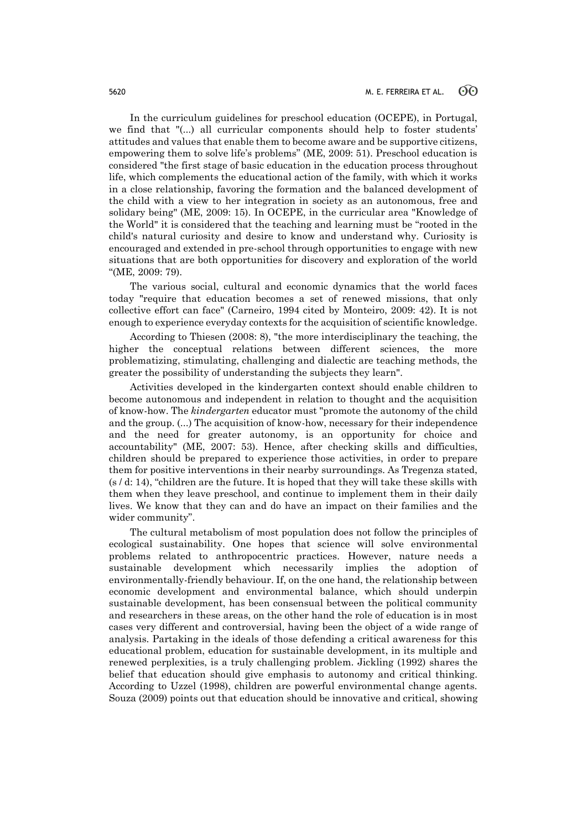In the curriculum guidelines for preschool education (OCEPE), in Portugal, we find that "(...) all curricular components should help to foster students' attitudes and values that enable them to become aware and be supportive citizens, empowering them to solve life's problems" (ME, 2009: 51). Preschool education is considered "the first stage of basic education in the education process throughout life, which complements the educational action of the family, with which it works in a close relationship, favoring the formation and the balanced development of the child with a view to her integration in society as an autonomous, free and solidary being" (ME, 2009: 15). In OCEPE, in the curricular area "Knowledge of the World" it is considered that the teaching and learning must be "rooted in the child's natural curiosity and desire to know and understand why. Curiosity is encouraged and extended in pre-school through opportunities to engage with new situations that are both opportunities for discovery and exploration of the world "(ME, 2009: 79).

The various social, cultural and economic dynamics that the world faces today "require that education becomes a set of renewed missions, that only collective effort can face" (Carneiro, 1994 cited by Monteiro, 2009: 42). It is not enough to experience everyday contexts for the acquisition of scientific knowledge.

According to Thiesen (2008: 8), "the more interdisciplinary the teaching, the higher the conceptual relations between different sciences, the more problematizing, stimulating, challenging and dialectic are teaching methods, the greater the possibility of understanding the subjects they learn".

Activities developed in the kindergarten context should enable children to become autonomous and independent in relation to thought and the acquisition of know-how. The *kindergarten* educator must "promote the autonomy of the child and the group. (...) The acquisition of know-how, necessary for their independence and the need for greater autonomy, is an opportunity for choice and accountability" (ME, 2007: 53). Hence, after checking skills and difficulties, children should be prepared to experience those activities, in order to prepare them for positive interventions in their nearby surroundings. As Tregenza stated,  $(s/d: 14)$ , "children are the future. It is hoped that they will take these skills with them when they leave preschool, and continue to implement them in their daily lives. We know that they can and do have an impact on their families and the wider community".

The cultural metabolism of most population does not follow the principles of ecological sustainability. One hopes that science will solve environmental problems related to anthropocentric practices. However, nature needs a sustainable development which necessarily implies the adoption of environmentally-friendly behaviour. If, on the one hand, the relationship between economic development and environmental balance, which should underpin sustainable development, has been consensual between the political community and researchers in these areas, on the other hand the role of education is in most cases very different and controversial, having been the object of a wide range of analysis. Partaking in the ideals of those defending a critical awareness for this educational problem, education for sustainable development, in its multiple and renewed perplexities, is a truly challenging problem. Jickling (1992) shares the belief that education should give emphasis to autonomy and critical thinking. According to Uzzel (1998), children are powerful environmental change agents. Souza (2009) points out that education should be innovative and critical, showing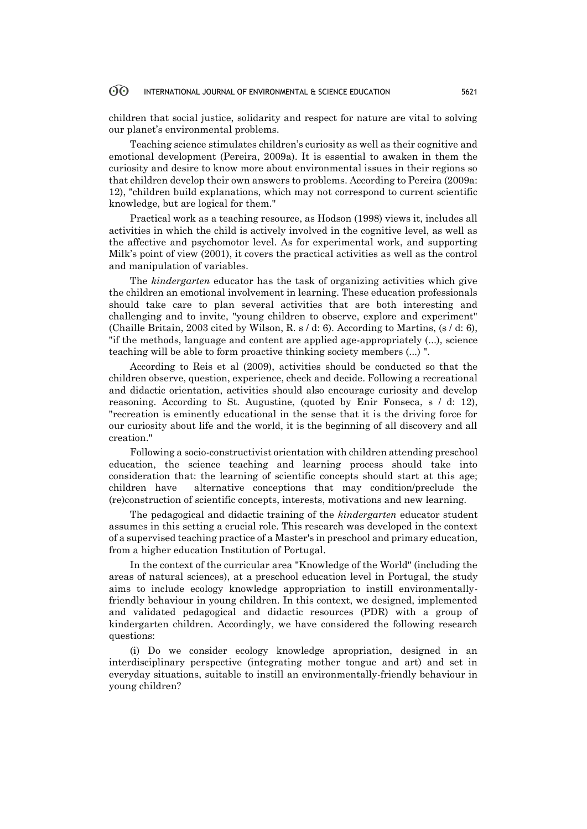children that social justice, solidarity and respect for nature are vital to solving our planet's environmental problems.

Teaching science stimulates children's curiosity as well as their cognitive and emotional development (Pereira, 2009a). It is essential to awaken in them the curiosity and desire to know more about environmental issues in their regions so that children develop their own answers to problems. According to Pereira (2009a: 12), "children build explanations, which may not correspond to current scientific knowledge, but are logical for them."

Practical work as a teaching resource, as Hodson (1998) views it, includes all activities in which the child is actively involved in the cognitive level, as well as the affective and psychomotor level. As for experimental work, and supporting Milk's point of view (2001), it covers the practical activities as well as the control and manipulation of variables.

The *kindergarten* educator has the task of organizing activities which give the children an emotional involvement in learning. These education professionals should take care to plan several activities that are both interesting and challenging and to invite, "young children to observe, explore and experiment" (Chaille Britain, 2003 cited by Wilson, R. s / d: 6). According to Martins, (s / d: 6), "if the methods, language and content are applied age-appropriately (...), science teaching will be able to form proactive thinking society members (...) ".

According to Reis et al (2009), activities should be conducted so that the children observe, question, experience, check and decide. Following a recreational and didactic orientation, activities should also encourage curiosity and develop reasoning. According to St. Augustine, (quoted by Enir Fonseca, s / d: 12), "recreation is eminently educational in the sense that it is the driving force for our curiosity about life and the world, it is the beginning of all discovery and all creation."

Following a socio-constructivist orientation with children attending preschool education, the science teaching and learning process should take into consideration that: the learning of scientific concepts should start at this age; children have alternative conceptions that may condition/preclude the (re)construction of scientific concepts, interests, motivations and new learning.

The pedagogical and didactic training of the *kindergarten* educator student assumes in this setting a crucial role. This research was developed in the context of a supervised teaching practice of a Master's in preschool and primary education, from a higher education Institution of Portugal.

In the context of the curricular area "Knowledge of the World" (including the areas of natural sciences), at a preschool education level in Portugal, the study aims to include ecology knowledge appropriation to instill environmentallyfriendly behaviour in young children. In this context, we designed, implemented and validated pedagogical and didactic resources (PDR) with a group of kindergarten children. Accordingly, we have considered the following research questions:

(i) Do we consider ecology knowledge apropriation, designed in an interdisciplinary perspective (integrating mother tongue and art) and set in everyday situations, suitable to instill an environmentally-friendly behaviour in young children?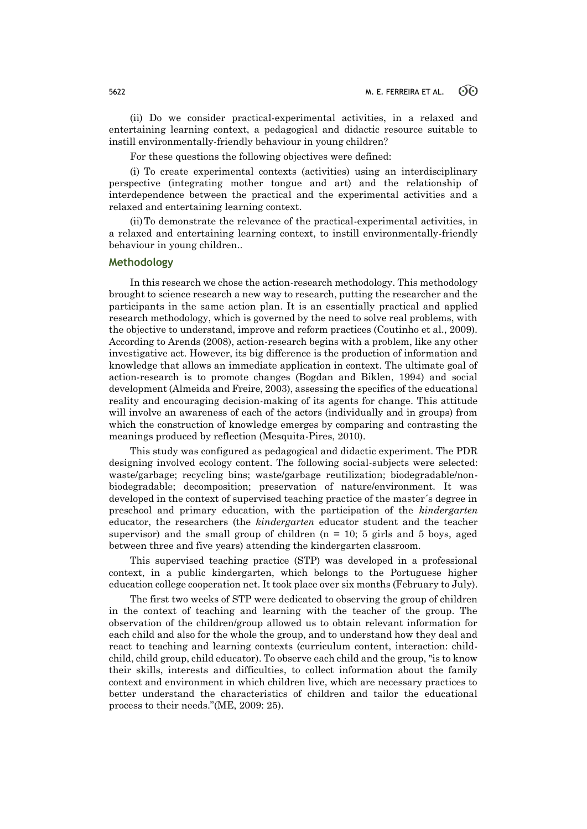(ii) Do we consider practical-experimental activities, in a relaxed and entertaining learning context, a pedagogical and didactic resource suitable to instill environmentally-friendly behaviour in young children?

For these questions the following objectives were defined:

(i) To create experimental contexts (activities) using an interdisciplinary perspective (integrating mother tongue and art) and the relationship of interdependence between the practical and the experimental activities and a relaxed and entertaining learning context.

(ii)To demonstrate the relevance of the practical-experimental activities, in a relaxed and entertaining learning context, to instill environmentally-friendly behaviour in young children..

# **Methodology**

In this research we chose the action-research methodology. This methodology brought to science research a new way to research, putting the researcher and the participants in the same action plan. It is an essentially practical and applied research methodology, which is governed by the need to solve real problems, with the objective to understand, improve and reform practices (Coutinho et al., 2009). According to Arends (2008), action-research begins with a problem, like any other investigative act. However, its big difference is the production of information and knowledge that allows an immediate application in context. The ultimate goal of action-research is to promote changes (Bogdan and Biklen, 1994) and social development (Almeida and Freire, 2003), assessing the specifics of the educational reality and encouraging decision-making of its agents for change. This attitude will involve an awareness of each of the actors (individually and in groups) from which the construction of knowledge emerges by comparing and contrasting the meanings produced by reflection (Mesquita-Pires, 2010).

This study was configured as pedagogical and didactic experiment. The PDR designing involved ecology content. The following social-subjects were selected: waste/garbage; recycling bins; waste/garbage reutilization; biodegradable/nonbiodegradable; decomposition; preservation of nature/environment. It was developed in the context of supervised teaching practice of the master´s degree in preschool and primary education, with the participation of the *kindergarten*  educator, the researchers (the *kindergarten* educator student and the teacher supervisor) and the small group of children ( $n = 10$ ; 5 girls and 5 boys, aged between three and five years) attending the kindergarten classroom.

This supervised teaching practice (STP) was developed in a professional context, in a public kindergarten, which belongs to the Portuguese higher education college cooperation net. It took place over six months (February to July).

The first two weeks of STP were dedicated to observing the group of children in the context of teaching and learning with the teacher of the group. The observation of the children/group allowed us to obtain relevant information for each child and also for the whole the group, and to understand how they deal and react to teaching and learning contexts (curriculum content, interaction: childchild, child group, child educator). To observe each child and the group, "is to know their skills, interests and difficulties, to collect information about the family context and environment in which children live, which are necessary practices to better understand the characteristics of children and tailor the educational process to their needs."(ME, 2009: 25).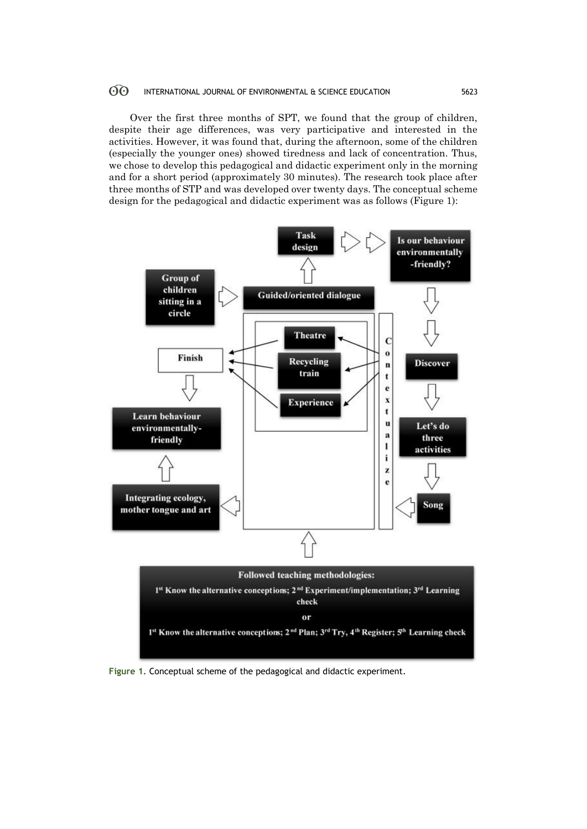Over the first three months of SPT, we found that the group of children, despite their age differences, was very participative and interested in the activities. However, it was found that, during the afternoon, some of the children (especially the younger ones) showed tiredness and lack of concentration. Thus, we chose to develop this pedagogical and didactic experiment only in the morning and for a short period (approximately 30 minutes). The research took place after three months of STP and was developed over twenty days. The conceptual scheme design for the pedagogical and didactic experiment was as follows (Figure 1):



**Figure 1.** Conceptual scheme of the pedagogical and didactic experiment.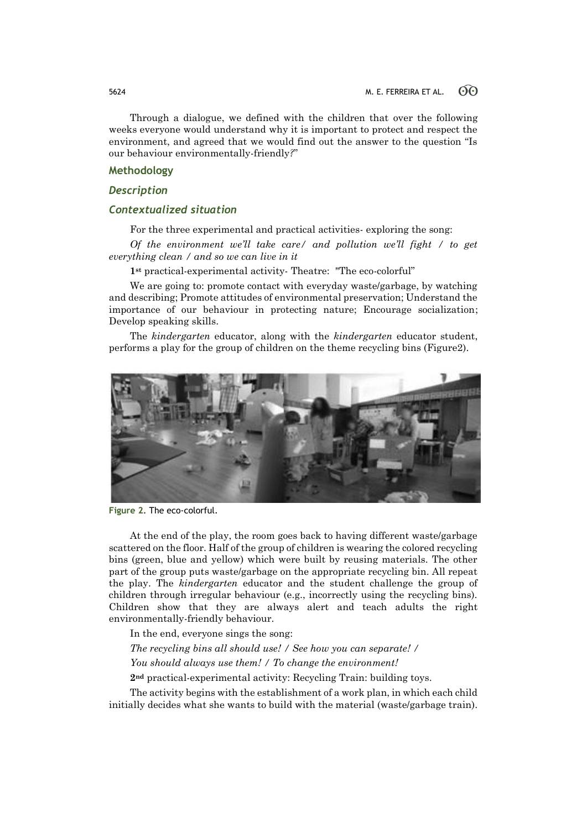Through a dialogue, we defined with the children that over the following weeks everyone would understand why it is important to protect and respect the environment, and agreed that we would find out the answer to the question "Is our behaviour environmentally-friendly*?*"

### **Methodology**

# *Description*

# *Contextualized situation*

For the three experimental and practical activities- exploring the song:

*Of the environment we'll take care/ and pollution we'll fight / to get everything clean / and so we can live in it*

**1st** practical-experimental activity- Theatre: "The eco-colorful"

We are going to: promote contact with everyday waste/garbage, by watching and describing; Promote attitudes of environmental preservation; Understand the importance of our behaviour in protecting nature; Encourage socialization; Develop speaking skills.

The *kindergarten* educator, along with the *kindergarten* educator student, performs a play for the group of children on the theme recycling bins (Figure2).



**Figure 2.** The eco-colorful.

At the end of the play, the room goes back to having different waste/garbage scattered on the floor. Half of the group of children is wearing the colored recycling bins (green, blue and yellow) which were built by reusing materials. The other part of the group puts waste/garbage on the appropriate recycling bin. All repeat the play. The *kindergarten* educator and the student challenge the group of children through irregular behaviour (e.g., incorrectly using the recycling bins). Children show that they are always alert and teach adults the right environmentally-friendly behaviour.

In the end, everyone sings the song:

*The recycling bins all should use! / See how you can separate! / You should always use them! / To change the environment!*

**2nd** practical-experimental activity: Recycling Train: building toys.

The activity begins with the establishment of a work plan, in which each child initially decides what she wants to build with the material (waste/garbage train).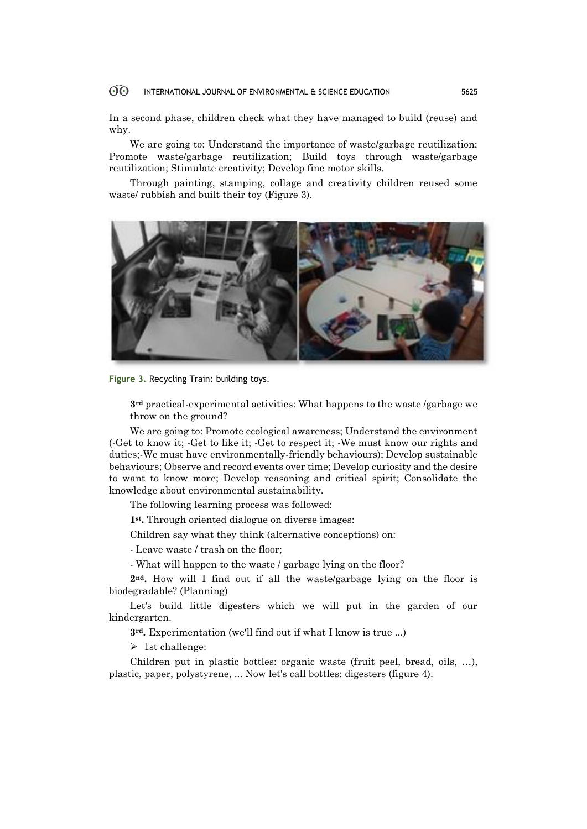In a second phase, children check what they have managed to build (reuse) and why.

We are going to: Understand the importance of waste/garbage reutilization; Promote waste/garbage reutilization; Build toys through waste/garbage reutilization; Stimulate creativity; Develop fine motor skills.

Through painting, stamping, collage and creativity children reused some waste/ rubbish and built their toy (Figure 3).



**Figure 3.** Recycling Train: building toys.

**3rd** practical-experimental activities: What happens to the waste /garbage we throw on the ground?

We are going to: Promote ecological awareness: Understand the environment (-Get to know it; -Get to like it; -Get to respect it; -We must know our rights and duties;-We must have environmentally-friendly behaviours); Develop sustainable behaviours; Observe and record events over time; Develop curiosity and the desire to want to know more; Develop reasoning and critical spirit; Consolidate the knowledge about environmental sustainability.

The following learning process was followed:

**1st .** Through oriented dialogue on diverse images:

Children say what they think (alternative conceptions) on:

- Leave waste / trash on the floor;

- What will happen to the waste / garbage lying on the floor?

**2nd.** How will I find out if all the waste/garbage lying on the floor is biodegradable? (Planning)

Let's build little digesters which we will put in the garden of our kindergarten.

**3rd.** Experimentation (we'll find out if what I know is true ...)

 $\triangleright$  1st challenge:

Children put in plastic bottles: organic waste (fruit peel, bread, oils, …), plastic, paper, polystyrene, ... Now let's call bottles: digesters (figure 4).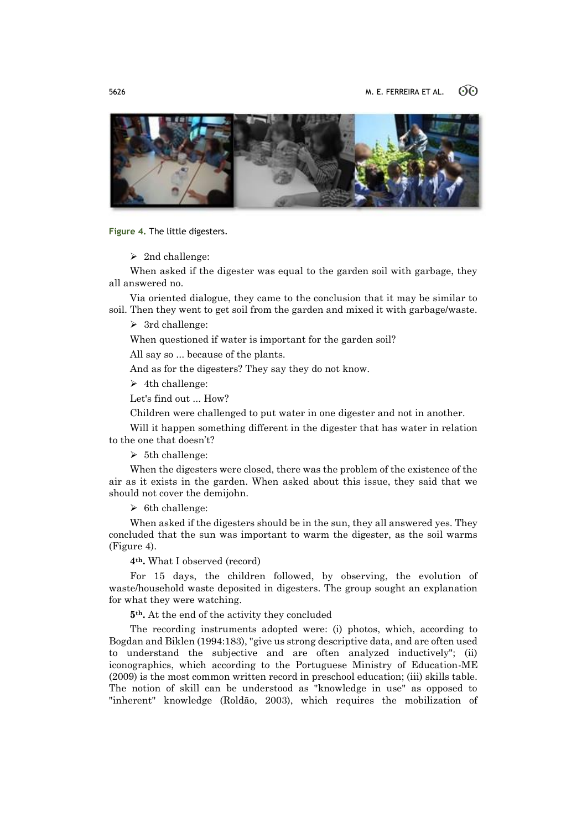

**Figure 4.** The little digesters.

 $\geq$  2nd challenge:

When asked if the digester was equal to the garden soil with garbage, they all answered no.

Via oriented dialogue, they came to the conclusion that it may be similar to soil. Then they went to get soil from the garden and mixed it with garbage/waste.

 $\geq$  3rd challenge:

When questioned if water is important for the garden soil?

All say so ... because of the plants.

And as for the digesters? They say they do not know.

 $\geq 4$ th challenge:

Let's find out ... How?

Children were challenged to put water in one digester and not in another.

Will it happen something different in the digester that has water in relation to the one that doesn't?

 $\geq 5$ th challenge:

When the digesters were closed, there was the problem of the existence of the air as it exists in the garden. When asked about this issue, they said that we should not cover the demijohn.

 $\triangleright$  6th challenge:

When asked if the digesters should be in the sun, they all answered yes. They concluded that the sun was important to warm the digester, as the soil warms (Figure 4).

**4th.** What I observed (record)

For 15 days, the children followed, by observing, the evolution of waste/household waste deposited in digesters. The group sought an explanation for what they were watching.

**5th.** At the end of the activity they concluded

The recording instruments adopted were: (i) photos, which, according to Bogdan and Biklen (1994:183), "give us strong descriptive data, and are often used to understand the subjective and are often analyzed inductively"; (ii) iconographics, which according to the Portuguese Ministry of Education-ME (2009) is the most common written record in preschool education; (iii) skills table. The notion of skill can be understood as "knowledge in use" as opposed to "inherent" knowledge (Roldão, 2003), which requires the mobilization of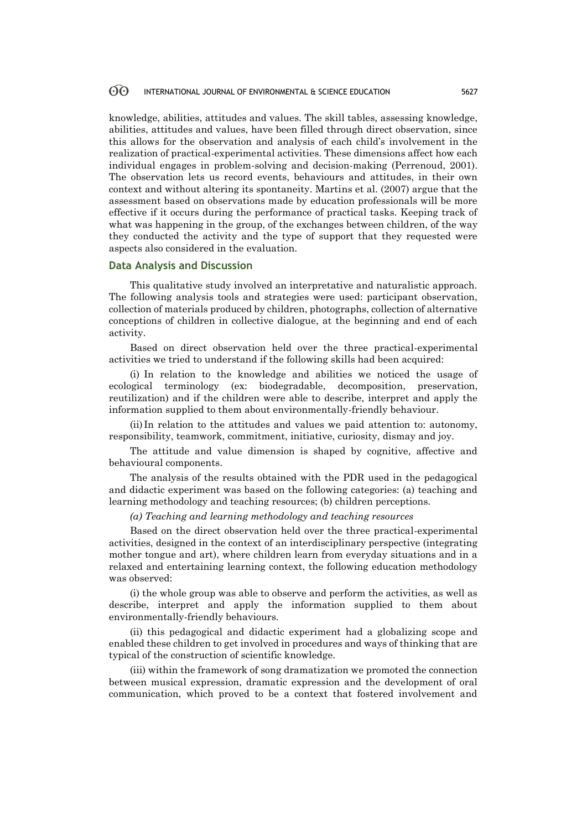knowledge, abilities, attitudes and values. The skill tables, assessing knowledge, abilities, attitudes and values, have been filled through direct observation, since this allows for the observation and analysis of each child's involvement in the realization of practical-experimental activities. These dimensions affect how each individual engages in problem-solving and decision-making (Perrenoud, 2001). The observation lets us record events, behaviours and attitudes, in their own context and without altering its spontaneity. Martins et al. (2007) argue that the assessment based on observations made by education professionals will be more effective if it occurs during the performance of practical tasks. Keeping track of what was happening in the group, of the exchanges between children, of the way they conducted the activity and the type of support that they requested were aspects also considered in the evaluation.

# **Data Analysis and Discussion**

This qualitative study involved an interpretative and naturalistic approach. The following analysis tools and strategies were used: participant observation, collection of materials produced by children, photographs, collection of alternative conceptions of children in collective dialogue, at the beginning and end of each activity.

Based on direct observation held over the three practical-experimental activities we tried to understand if the following skills had been acquired:

(i) In relation to the knowledge and abilities we noticed the usage of ecological terminology (ex: biodegradable, decomposition, preservation, reutilization) and if the children were able to describe, interpret and apply the information supplied to them about environmentally-friendly behaviour.

(ii) In relation to the attitudes and values we paid attention to: autonomy, responsibility, teamwork, commitment, initiative, curiosity, dismay and joy.

The attitude and value dimension is shaped by cognitive, affective and behavioural components.

The analysis of the results obtained with the PDR used in the pedagogical and didactic experiment was based on the following categories: (a) teaching and learning methodology and teaching resources; (b) children perceptions.

*(a) Teaching and learning methodology and teaching resources*

Based on the direct observation held over the three practical-experimental activities, designed in the context of an interdisciplinary perspective (integrating mother tongue and art), where children learn from everyday situations and in a relaxed and entertaining learning context, the following education methodology was observed:

(i) the whole group was able to observe and perform the activities, as well as describe, interpret and apply the information supplied to them about environmentally-friendly behaviours.

(ii) this pedagogical and didactic experiment had a globalizing scope and enabled these children to get involved in procedures and ways of thinking that are typical of the construction of scientific knowledge.

(iii) within the framework of song dramatization we promoted the connection between musical expression, dramatic expression and the development of oral communication, which proved to be a context that fostered involvement and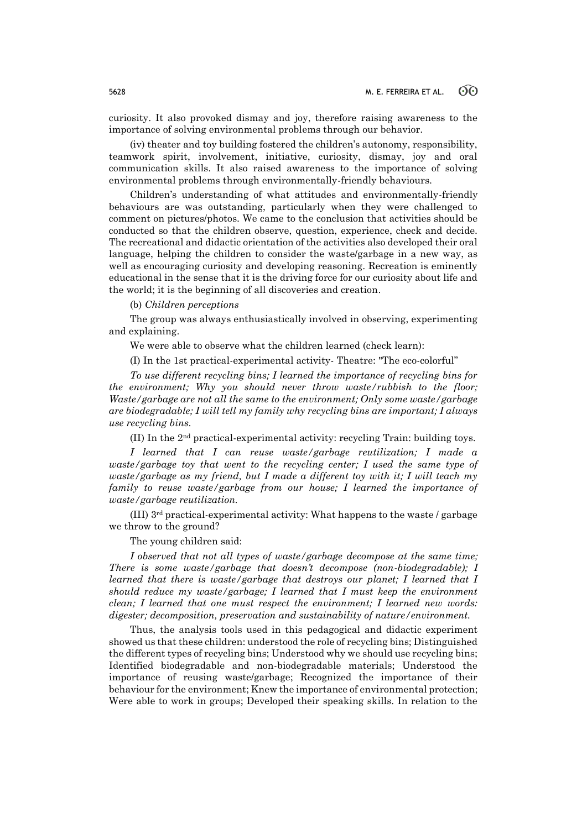curiosity. It also provoked dismay and joy, therefore raising awareness to the importance of solving environmental problems through our behavior.

(iv) theater and toy building fostered the children's autonomy, responsibility, teamwork spirit, involvement, initiative, curiosity, dismay, joy and oral communication skills. It also raised awareness to the importance of solving environmental problems through environmentally-friendly behaviours.

Children's understanding of what attitudes and environmentally-friendly behaviours are was outstanding, particularly when they were challenged to comment on pictures/photos. We came to the conclusion that activities should be conducted so that the children observe, question, experience, check and decide. The recreational and didactic orientation of the activities also developed their oral language, helping the children to consider the waste/garbage in a new way, as well as encouraging curiosity and developing reasoning. Recreation is eminently educational in the sense that it is the driving force for our curiosity about life and the world; it is the beginning of all discoveries and creation.

(b) *Children perceptions*

The group was always enthusiastically involved in observing, experimenting and explaining.

We were able to observe what the children learned (check learn):

(I) In the 1st practical-experimental activity- Theatre: "The eco-colorful"

*To use different recycling bins; I learned the importance of recycling bins for the environment; Why you should never throw waste/rubbish to the floor; Waste/garbage are not all the same to the environment; Only some waste/garbage are biodegradable; I will tell my family why recycling bins are important; I always use recycling bins.*

(II) In the 2nd practical-experimental activity: recycling Train: building toys.

*I learned that I can reuse waste/garbage reutilization; I made a waste/garbage toy that went to the recycling center: I used the same type of waste/garbage as my friend, but I made a different toy with it; I will teach my family to reuse waste/garbage from our house; I learned the importance of waste/garbage reutilization.*

(III) 3rd practical-experimental activity: What happens to the waste / garbage we throw to the ground?

The young children said:

*I observed that not all types of waste/garbage decompose at the same time; There is some waste/garbage that doesn't decompose (non-biodegradable); I learned that there is waste/garbage that destroys our planet; I learned that I should reduce my waste/garbage; I learned that I must keep the environment clean; I learned that one must respect the environment; I learned new words: digester; decomposition, preservation and sustainability of nature/environment.*

Thus, the analysis tools used in this pedagogical and didactic experiment showed us that these children: understood the role of recycling bins; Distinguished the different types of recycling bins; Understood why we should use recycling bins; Identified biodegradable and non-biodegradable materials; Understood the importance of reusing waste/garbage; Recognized the importance of their behaviour for the environment; Knew the importance of environmental protection; Were able to work in groups; Developed their speaking skills. In relation to the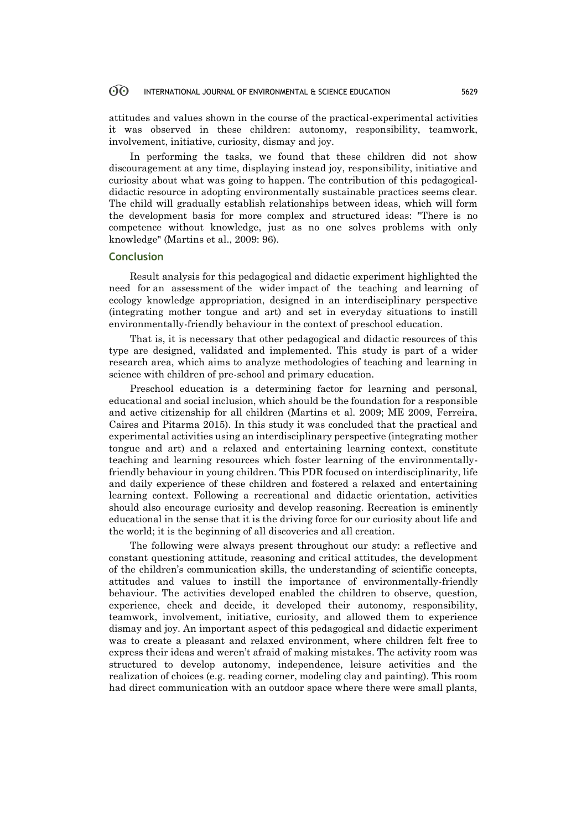attitudes and values shown in the course of the practical-experimental activities it was observed in these children: autonomy, responsibility, teamwork, involvement, initiative, curiosity, dismay and joy.

In performing the tasks, we found that these children did not show discouragement at any time, displaying instead joy, responsibility, initiative and curiosity about what was going to happen. The contribution of this pedagogicaldidactic resource in adopting environmentally sustainable practices seems clear. The child will gradually establish relationships between ideas, which will form the development basis for more complex and structured ideas: "There is no competence without knowledge, just as no one solves problems with only knowledge" (Martins et al., 2009: 96).

### **Conclusion**

Result analysis for this pedagogical and didactic experiment highlighted the need for an assessment of the wider impact of the teaching and learning of ecology knowledge appropriation, designed in an interdisciplinary perspective (integrating mother tongue and art) and set in everyday situations to instill environmentally-friendly behaviour in the context of preschool education.

That is, it is necessary that other pedagogical and didactic resources of this type are designed, validated and implemented. This study is part of a wider research area, which aims to analyze methodologies of teaching and learning in science with children of pre-school and primary education.

Preschool education is a determining factor for learning and personal, educational and social inclusion, which should be the foundation for a responsible and active citizenship for all children (Martins et al. 2009; ME 2009, Ferreira, Caires and Pitarma 2015). In this study it was concluded that the practical and experimental activities using an interdisciplinary perspective (integrating mother tongue and art) and a relaxed and entertaining learning context, constitute teaching and learning resources which foster learning of the environmentallyfriendly behaviour in young children. This PDR focused on interdisciplinarity, life and daily experience of these children and fostered a relaxed and entertaining learning context. Following a recreational and didactic orientation, activities should also encourage curiosity and develop reasoning. Recreation is eminently educational in the sense that it is the driving force for our curiosity about life and the world; it is the beginning of all discoveries and all creation.

The following were always present throughout our study: a reflective and constant questioning attitude, reasoning and critical attitudes, the development of the children's communication skills, the understanding of scientific concepts, attitudes and values to instill the importance of environmentally-friendly behaviour. The activities developed enabled the children to observe, question, experience, check and decide, it developed their autonomy, responsibility, teamwork, involvement, initiative, curiosity, and allowed them to experience dismay and joy. An important aspect of this pedagogical and didactic experiment was to create a pleasant and relaxed environment, where children felt free to express their ideas and weren't afraid of making mistakes. The activity room was structured to develop autonomy, independence, leisure activities and the realization of choices (e.g. reading corner, modeling clay and painting). This room had direct communication with an outdoor space where there were small plants,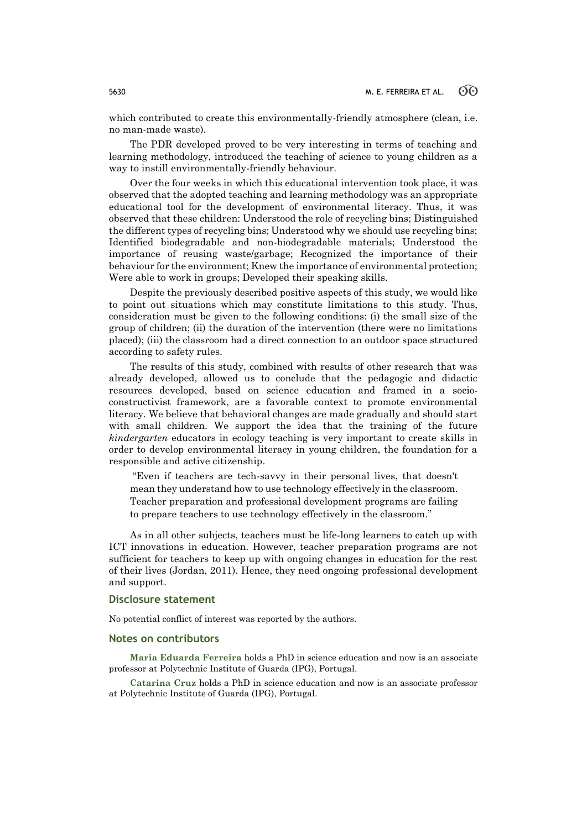which contributed to create this environmentally-friendly atmosphere (clean, i.e. no man-made waste).

The PDR developed proved to be very interesting in terms of teaching and learning methodology, introduced the teaching of science to young children as a way to instill environmentally-friendly behaviour.

Over the four weeks in which this educational intervention took place, it was observed that the adopted teaching and learning methodology was an appropriate educational tool for the development of environmental literacy. Thus, it was observed that these children: Understood the role of recycling bins; Distinguished the different types of recycling bins; Understood why we should use recycling bins; Identified biodegradable and non-biodegradable materials; Understood the importance of reusing waste/garbage; Recognized the importance of their behaviour for the environment; Knew the importance of environmental protection; Were able to work in groups; Developed their speaking skills.

Despite the previously described positive aspects of this study, we would like to point out situations which may constitute limitations to this study. Thus, consideration must be given to the following conditions: (i) the small size of the group of children; (ii) the duration of the intervention (there were no limitations placed); (iii) the classroom had a direct connection to an outdoor space structured according to safety rules.

The results of this study, combined with results of other research that was already developed, allowed us to conclude that the pedagogic and didactic resources developed, based on science education and framed in a socioconstructivist framework, are a favorable context to promote environmental literacy. We believe that behavioral changes are made gradually and should start with small children. We support the idea that the training of the future *kindergarten* educators in ecology teaching is very important to create skills in order to develop environmental literacy in young children, the foundation for a responsible and active citizenship.

"Even if teachers are tech-savvy in their personal lives, that doesn't mean they understand how to use technology effectively in the classroom. Teacher preparation and professional development programs are failing to prepare teachers to use technology effectively in the classroom."

As in all other subjects, teachers must be life-long learners to catch up with ICT innovations in education. However, teacher preparation programs are not sufficient for teachers to keep up with ongoing changes in education for the rest of their lives (Jordan, 2011). Hence, they need ongoing professional development and support.

# **Disclosure statement**

No potential conflict of interest was reported by the authors.

### **Notes on contributors**

**Maria Eduarda Ferreira** holds a PhD in science education and now is an associate professor at Polytechnic Institute of Guarda (IPG), Portugal.

**Catarina Cruz** holds a PhD in science education and now is an associate professor at Polytechnic Institute of Guarda (IPG), Portugal.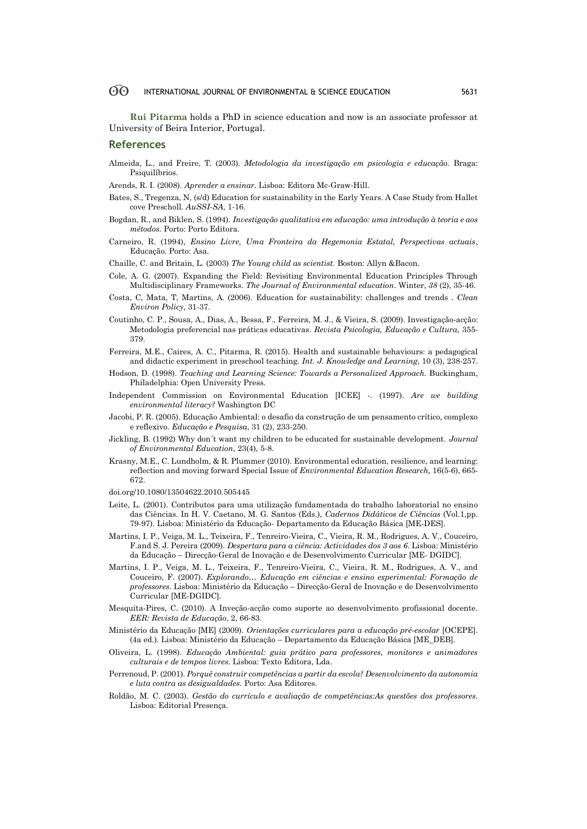**Rui Pitarma** holds a PhD in science education and now is an associate professor at University of Beira Interior, Portugal.

### **References**

- Almeida, L., and Freire, T. (2003). *Metodologia da investigação em psicologia e educação.* Braga: Psiquilíbrios.
- Arends, R. I. (2008). *Aprender a ensinar*. Lisboa: Editora Mc-Graw-Hill.
- Bates, S., Tregenza, N, (s/d) Education for sustainability in the Early Years. A Case Study from Hallet cove Prescholl*. AuSSI-SA*, 1-16.
- Bogdan, R., and Biklen, S. (1994). *Investigação qualitativa em educação: uma introdução à teoria e aos métodos.* Porto: Porto Editora.
- Carneiro, R. (1994), *Ensino Livre, Uma Fronteira da Hegemonia Estatal, Perspectivas actuais*, Educação. Porto: Asa.
- Chaille, C. and Britain, L. (2003) *The Young child as scientist*. Boston: Allyn &Bacon.
- Cole, A. G. (2007). Expanding the Field: Revisiting Environmental Education Principles Through Multidisciplinary Frameworks. *The Journal of Environmental education*. Winter, *38* (2), 35-46.
- Costa, C, Mata, T, Martins, A. (2006). Education for sustainability: challenges and trends . *Clean Environ Policy,* 31-37.
- Coutinho, C. P., Sousa, A., Dias, A., Bessa, F., Ferreira, M. J., & Vieira, S. (2009). Investigação‐acção: Metodologia preferencial nas práticas educativas. *Revista Psicologia, Educação e Cultura,* 355- 379.
- Ferreira, M.E., Caires, A. C., Pitarma, R. (2015). Health and sustainable behaviours: a pedagogical and didactic experiment in preschool teaching. *Int. J. Knowledge and Learning*, 10 (3), 238-257.
- Hodson, D. (1998). *Teaching and Learning Science: Towards a Personalized Approach.* Buckingham, Philadelphia: Open University Press.
- Independent Commission on Environmental Education [ICEE] -. (1997). *Are we building environmental literacy?* Washington DC
- Jacobi, P. R. (2005). Educação Ambiental: o desafio da construção de um pensamento crítico, complexo e reflexivo. *Educação e Pesquisa*, 31 (2), 233-250.
- Jickling, B. (1992) Why don´t want my children to be educated for sustainable development. *Journal of Environmental Education*, 23(4), 5-8.
- Krasny, M.E., C. Lundholm, & R. Plummer (2010). Environmental education, resilience, and learning: reflection and moving forward Special Issue of *Environmental Education Research,* 16(5-6), 665- 672.
- doi.org/10.1080/13504622.2010.505445
- Leite, L. (2001). Contributos para uma utilização fundamentada do trabalho laboratorial no ensino das Ciências. In H. V. Caetano, M. G. Santos (Eds.), *Cadernos Didáticos de Ciências* (Vol.1,pp. 79-97). Lisboa: Ministério da Educação- Departamento da Educação Básica [ME-DES].
- Martins, I. P., Veiga, M. L., Teixeira, F., Tenreiro-Vieira, C., Vieira, R. M., Rodrigues, A. V., Couceiro, F.and S. J. Pereira (2009). *Despertara para a ciência: Actividades dos 3 aos 6*. Lisboa: Ministério da Educação – Direcção-Geral de Inovação e de Desenvolvimento Curricular [ME- DGIDC].
- Martins, I. P., Veiga, M. L., Teixeira, F., Tenreiro-Vieira, C., Vieira, R. M., Rodrigues, A. V., and Couceiro, F. (2007). *Explorando… Educação em ciências e ensino experimental: Formação de professores.* Lisboa: Ministério da Educação – Direcção-Geral de Inovação e de Desenvolvimento Curricular [ME-DGIDC].
- Mesquita-Pires, C. (2010). A Inveção-acção como suporte ao desenvolvimento profissional docente. *EER: Revista de Educação*, 2, 66-83.
- Ministério da Educação [ME] (2009). *Orientações curriculares para a educação pré-escolar* [OCEPE]. (4a ed.). Lisboa: Ministério da Educação – Departamento da Educação Básica [ME\_DEB].
- Oliveira, L. (1998). *Educação Ambiental: guia prático para professores, monitores e animadores culturais e de tempos livres.* Lisboa: Texto Editora, Lda.
- Perrenoud, P. (2001). *Porquê construir competências a partir da escola? Desenvolvimento da autonomia e luta contra as desigualdades*. Porto: Asa Editores.
- Roldão, M. C. (2003). *Gestão do currículo e avaliação de competências:As questões dos professores*. Lisboa: Editorial Presença.